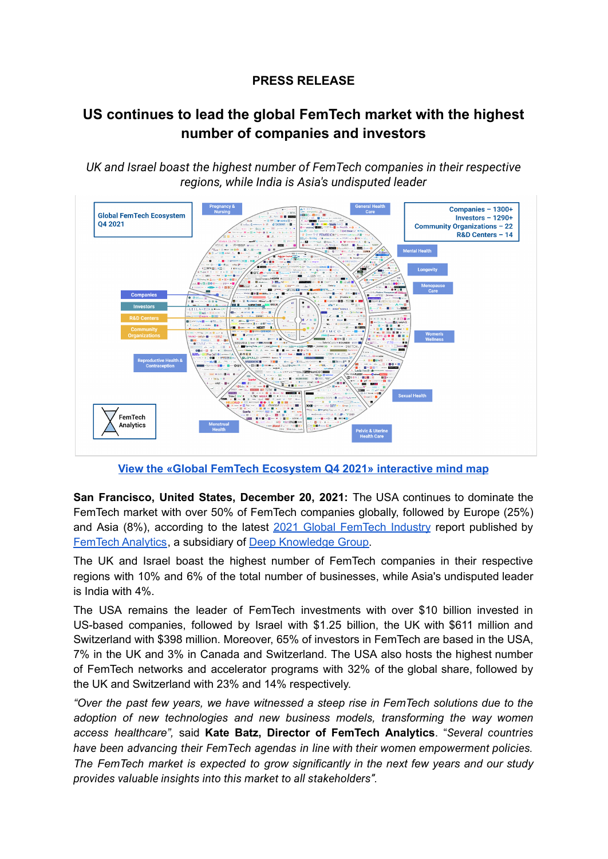## **PRESS RELEASE**

## **US continues to lead the global FemTech market with the highest number of companies and investors**

*UK and Israel boast the highest number of FemTech companies in their respective regions, while India is Asia's undisputed leader*



**View the «Global FemTech [Ecosystem](https://mindmaps.femtech.health/global-femtech-ecosystem-q4-2021) Q4 2021» interactive mind map**

**San Francisco, United States, December 20, 2021:** The USA continues to dominate the FemTech market with over 50% of FemTech companies globally, followed by Europe (25%) and Asia (8%), according to the latest 2021 Global [FemTech](http://www.femtech.health/femtech-overview-q4-2021) Industry report published by [FemTech](https://www.femtech.health) Analytics, a subsidiary of Deep [Knowledge](https://www.dkv.global/) Group.

The UK and Israel boast the highest number of FemTech companies in their respective regions with 10% and 6% of the total number of businesses, while Asia's undisputed leader is India with 4%.

The USA remains the leader of FemTech investments with over \$10 billion invested in US-based companies, followed by Israel with \$1.25 billion, the UK with \$611 million and Switzerland with \$398 million. Moreover, 65% of investors in FemTech are based in the USA, 7% in the UK and 3% in Canada and Switzerland. The USA also hosts the highest number of FemTech networks and accelerator programs with 32% of the global share, followed by the UK and Switzerland with 23% and 14% respectively.

*"Over the past few years, we have witnessed a steep rise in FemTech solutions due to the adoption of new technologies and new business models, transforming the way women access healthcare",* said **Kate Batz, Director of FemTech Analytics**. "*Several countries have been advancing their FemTech agendas in line with their women empowerment policies. The FemTech market is expected to grow significantly in the next few years and our study provides valuable insights into this market to all stakeholders".*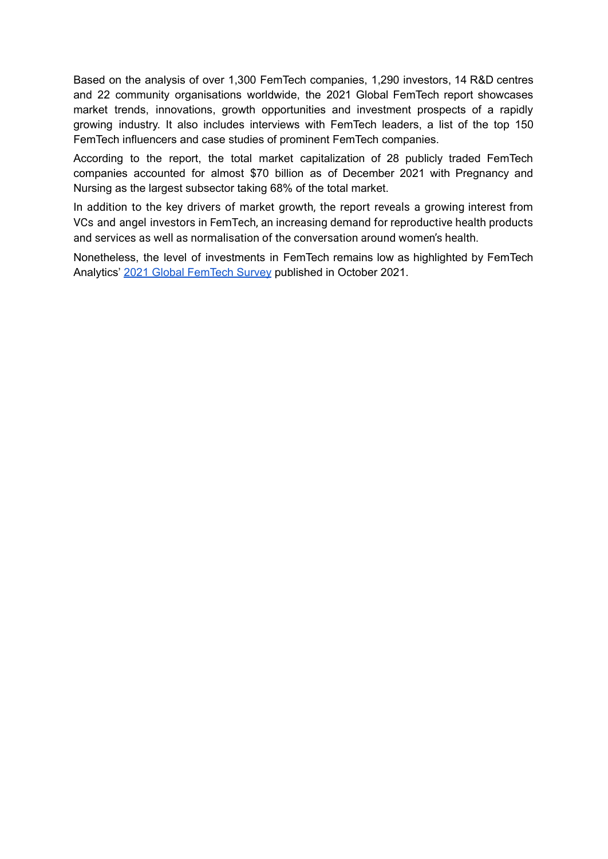Based on the analysis of over 1,300 FemTech companies, 1,290 investors, 14 R&D centres and 22 community organisations worldwide, the 2021 Global FemTech report showcases market trends, innovations, growth opportunities and investment prospects of a rapidly growing industry. It also includes interviews with FemTech leaders, a list of the top 150 FemTech influencers and case studies of prominent FemTech companies.

According to the report, the total market capitalization of 28 publicly traded FemTech companies accounted for almost \$70 billion as of December 2021 with Pregnancy and Nursing as the largest subsector taking 68% of the total market.

In addition to the key drivers of market growth, the report reveals a growing interest from VCs and angel investors in FemTech, an increasing demand for reproductive health products and services as well as normalisation of the conversation around women's health.

Nonetheless, the level of investments in FemTech remains low as highlighted by FemTech Analytics' 2021 Global [FemTech](https://www.femtech.health/femtech-overview-q4-2021) Survey published in October 2021.